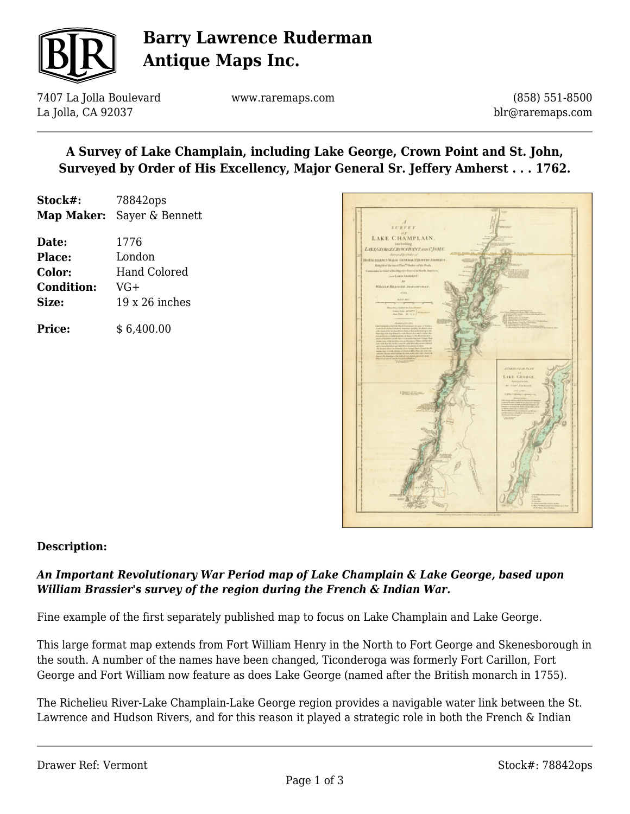

## **Barry Lawrence Ruderman Antique Maps Inc.**

7407 La Jolla Boulevard La Jolla, CA 92037

www.raremaps.com

(858) 551-8500 blr@raremaps.com

## **A Survey of Lake Champlain, including Lake George, Crown Point and St. John, Surveyed by Order of His Excellency, Major General Sr. Jeffery Amherst . . . 1762.**

| Stock#: | 78842ops                          |
|---------|-----------------------------------|
|         | <b>Map Maker:</b> Sayer & Bennett |

| Date:             | 1776                  |
|-------------------|-----------------------|
| <b>Place:</b>     | London                |
| Color:            | <b>Hand Colored</b>   |
| <b>Condition:</b> | $VG+$                 |
| Size:             | $19 \times 26$ inches |
|                   |                       |

**Price:**  $$6,400.00$ 



### **Description:**

### *An Important Revolutionary War Period map of Lake Champlain & Lake George, based upon William Brassier's survey of the region during the French & Indian War.*

Fine example of the first separately published map to focus on Lake Champlain and Lake George.

This large format map extends from Fort William Henry in the North to Fort George and Skenesborough in the south. A number of the names have been changed, Ticonderoga was formerly Fort Carillon, Fort George and Fort William now feature as does Lake George (named after the British monarch in 1755).

The Richelieu River-Lake Champlain-Lake George region provides a navigable water link between the St. Lawrence and Hudson Rivers, and for this reason it played a strategic role in both the French & Indian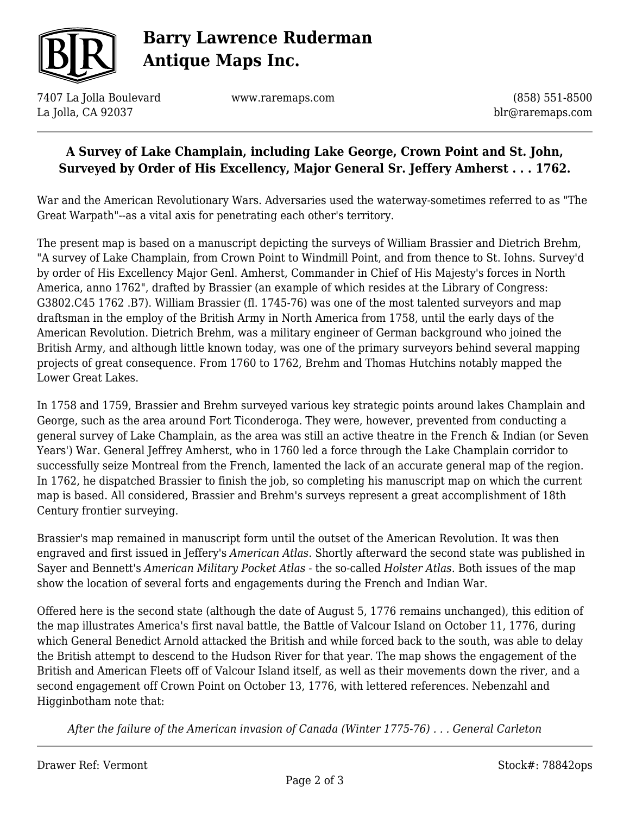

# **Barry Lawrence Ruderman Antique Maps Inc.**

7407 La Jolla Boulevard La Jolla, CA 92037

www.raremaps.com

(858) 551-8500 blr@raremaps.com

## **A Survey of Lake Champlain, including Lake George, Crown Point and St. John, Surveyed by Order of His Excellency, Major General Sr. Jeffery Amherst . . . 1762.**

War and the American Revolutionary Wars. Adversaries used the waterway-sometimes referred to as "The Great Warpath"--as a vital axis for penetrating each other's territory.

The present map is based on a manuscript depicting the surveys of William Brassier and Dietrich Brehm, "A survey of Lake Champlain, from Crown Point to Windmill Point, and from thence to St. Iohns. Survey'd by order of His Excellency Major Genl. Amherst, Commander in Chief of His Majesty's forces in North America, anno 1762", drafted by Brassier (an example of which resides at the Library of Congress: G3802.C45 1762 .B7). William Brassier (fl. 1745-76) was one of the most talented surveyors and map draftsman in the employ of the British Army in North America from 1758, until the early days of the American Revolution. Dietrich Brehm, was a military engineer of German background who joined the British Army, and although little known today, was one of the primary surveyors behind several mapping projects of great consequence. From 1760 to 1762, Brehm and Thomas Hutchins notably mapped the Lower Great Lakes.

In 1758 and 1759, Brassier and Brehm surveyed various key strategic points around lakes Champlain and George, such as the area around Fort Ticonderoga. They were, however, prevented from conducting a general survey of Lake Champlain, as the area was still an active theatre in the French & Indian (or Seven Years') War. General Jeffrey Amherst, who in 1760 led a force through the Lake Champlain corridor to successfully seize Montreal from the French, lamented the lack of an accurate general map of the region. In 1762, he dispatched Brassier to finish the job, so completing his manuscript map on which the current map is based. All considered, Brassier and Brehm's surveys represent a great accomplishment of 18th Century frontier surveying.

Brassier's map remained in manuscript form until the outset of the American Revolution. It was then engraved and first issued in Jeffery's *American Atlas*. Shortly afterward the second state was published in Sayer and Bennett's *American Military Pocket Atlas* - the so-called *Holster Atlas*. Both issues of the map show the location of several forts and engagements during the French and Indian War.

Offered here is the second state (although the date of August 5, 1776 remains unchanged), this edition of the map illustrates America's first naval battle, the Battle of Valcour Island on October 11, 1776, during which General Benedict Arnold attacked the British and while forced back to the south, was able to delay the British attempt to descend to the Hudson River for that year. The map shows the engagement of the British and American Fleets off of Valcour Island itself, as well as their movements down the river, and a second engagement off Crown Point on October 13, 1776, with lettered references. Nebenzahl and Higginbotham note that:

*After the failure of the American invasion of Canada (Winter 1775-76) . . . General Carleton*